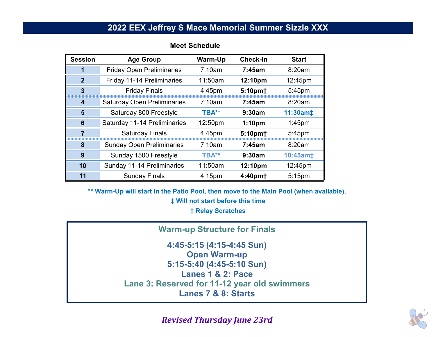## **2022 EEX Jeffrey S Mace Memorial Summer Sizzle XXX**

| <b>Session</b> | <b>Age Group</b>                   | <b>Warm-Up</b> | <b>Check-In</b>     | <b>Start</b> |
|----------------|------------------------------------|----------------|---------------------|--------------|
|                | <b>Friday Open Preliminaries</b>   | 7:10am         | 7:45am              | 8:20am       |
| $\overline{2}$ | Friday 11-14 Preliminaries         | 11:50am        | 12:10pm             | 12:45pm      |
| 3              | <b>Friday Finals</b>               | $4:45$ pm      | 5:10pm+             | 5:45pm       |
| 4              | <b>Saturday Open Preliminaries</b> | 7:10am         | 7:45am              | 8:20am       |
| 5              | Saturday 800 Freestyle             | TBA**          | 9:30am              | 11:30am‡     |
| 6              | Saturday 11-14 Preliminaries       | 12:50pm        | 1:10 <sub>pm</sub>  | $1:45$ pm    |
|                | <b>Saturday Finals</b>             | $4:45$ pm      | 5:10pm+             | 5:45pm       |
| 8              | <b>Sunday Open Preliminaries</b>   | 7:10am         | 7:45am              | 8:20am       |
| 9              | Sunday 1500 Freestyle              | TBA**          | 9:30am              | 10:45am‡     |
| 10             | Sunday 11-14 Preliminaries         | 11:50am        | 12:10pm             | 12:45pm      |
| 11             | <b>Sunday Finals</b>               | $4:15$ pm      | 4:40pm <sup>+</sup> | $5:15$ pm    |

#### **Meet Schedule**

**\*\* Warm-Up will start in the Patio Pool, then move to the Main Pool (when available). ‡ Will not start before this time † Relay Scratches**

**Warm-up Structure for Finals**

**4:45-5:15 (4:15-4:45 Sun) Open Warm-up 5:15-5:40 (4:45-5:10 Sun) Lanes 1 & 2: PaceLane 3: Reserved for 11-12 year old swimmers Lanes 7 & 8: Starts**



*Revised Thursday June 23rd*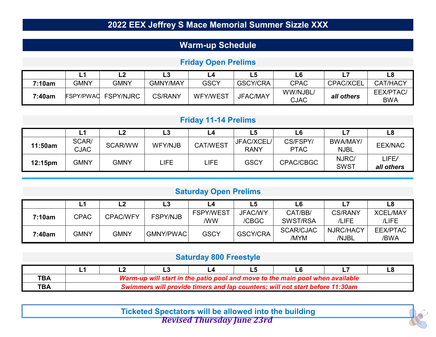# **2022 EEX Jeffrey S Mace Memorial Summer Sizzle XXX**

## **Warm-up Schedule**

### **Frida y Open Prelims**

|        | . .              |                  | Lе              | L4              | L5              |                         |                  |                                |
|--------|------------------|------------------|-----------------|-----------------|-----------------|-------------------------|------------------|--------------------------------|
| 7:10am | <b>GMNY</b>      | GMNY             | <b>GMNY/MAY</b> | <b>GSCY</b>     | <b>GSCY/CRA</b> | <b>CPAC</b>             | <b>CPAC/XCEL</b> | <b>CAT/HACY</b>                |
| 7:40am | <b>FSPY/PWAC</b> | <b>FSPY/NJRC</b> | <b>CS/RANY</b>  | <b>WFY/WEST</b> | JFAC/MAY        | WW/NJBL/<br><b>CJAC</b> | all others       | <b>EEX/PTAC/</b><br><b>BWA</b> |

### **Frida y 11-14 Prelims**

|         | டீ                   | ┕              | L3             | ∟4              | L5                        | L6                      |                         | L8                  |
|---------|----------------------|----------------|----------------|-----------------|---------------------------|-------------------------|-------------------------|---------------------|
| 11:50am | SCAR/<br><b>CJAC</b> | <b>SCAR/WW</b> | <b>WFY/NJB</b> | <b>CAT/WEST</b> | JFAC/XCEL/<br><b>RANY</b> | CS/FSPY/<br><b>PTAC</b> | BWA/MAY/<br><b>NJBL</b> | <b>EEX/NAC</b>      |
| 12:15pm | <b>GMNY</b>          | GMNY           | LIFE.          | LIFE            | <b>GSCY</b>               | CPAC/CBGC               | NJRC/<br><b>SWST</b>    | LIFE/<br>all others |

### **Saturda y Open Prelims**

|        |             | LZ              | L3              | - 4                     | L5                      |                     |                         | L8                       |
|--------|-------------|-----------------|-----------------|-------------------------|-------------------------|---------------------|-------------------------|--------------------------|
| 7:10am | <b>CPAC</b> | <b>CPAC/WFY</b> | <b>FSPY/NJB</b> | <b>FSPY/WEST</b><br>/WW | <b>JFAC/WY</b><br>/CBGC | CAT/BB/<br>SWST/RSA | <b>CS/RANY</b><br>/LIFE | <b>XCEL/MAY</b><br>/LIFE |
| 7:40am | <b>GMNY</b> | GMNY            | GMNY/PWAC       | <b>GSCY</b>             | <b>GSCY/CRA</b>         | SCAR/CJAC<br>/MYM   | NJRC/HACY<br>/NJBL      | <b>EEX/PTAC</b><br>/BWA  |

#### **Saturda y 800 Freest yle**

| <b>TBA</b> | Warm-up will start in the patio pool and move to the main pool when available |  |  |  |                                                                              |  |  |  |
|------------|-------------------------------------------------------------------------------|--|--|--|------------------------------------------------------------------------------|--|--|--|
| ТВА        |                                                                               |  |  |  | Swimmers will provide timers and lap counters; will not start before 11:30am |  |  |  |

**Ticketed Spectators will be allowed into the building** *Revised Thursday June 23rd*